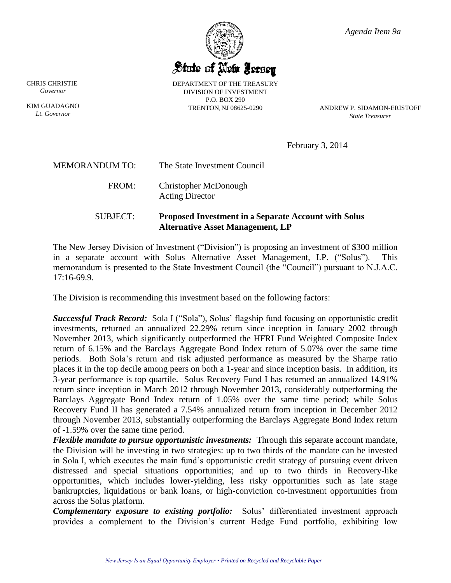

*Agenda Item 9a*

DEPARTMENT OF THE TREASURY DIVISION OF INVESTMENT  $P \cap ROX 290$ 

TRENTON, NJ 08625-0290 ANDREW P. SIDAMON-ERISTOFF *State Treasurer*

February 3, 2014

| <b>SUBJECT:</b>       | <b>Proposed Investment in a Separate Account with Solus</b><br><b>Alternative Asset Management, LP</b> |
|-----------------------|--------------------------------------------------------------------------------------------------------|
| FROM:                 | Christopher McDonough<br><b>Acting Director</b>                                                        |
| <b>MEMORANDUM TO:</b> | The State Investment Council                                                                           |

The New Jersey Division of Investment ("Division") is proposing an investment of \$300 million in a separate account with Solus Alternative Asset Management, LP. ("Solus"). This memorandum is presented to the State Investment Council (the "Council") pursuant to N.J.A.C. 17:16-69.9.

The Division is recommending this investment based on the following factors:

*Successful Track Record:* Sola I ("Sola"), Solus' flagship fund focusing on opportunistic credit investments, returned an annualized 22.29% return since inception in January 2002 through November 2013, which significantly outperformed the HFRI Fund Weighted Composite Index return of 6.15% and the Barclays Aggregate Bond Index return of 5.07% over the same time periods. Both Sola's return and risk adjusted performance as measured by the Sharpe ratio places it in the top decile among peers on both a 1-year and since inception basis. In addition, its 3-year performance is top quartile. Solus Recovery Fund I has returned an annualized 14.91% return since inception in March 2012 through November 2013, considerably outperforming the Barclays Aggregate Bond Index return of 1.05% over the same time period; while Solus Recovery Fund II has generated a 7.54% annualized return from inception in December 2012 through November 2013, substantially outperforming the Barclays Aggregate Bond Index return of -1.59% over the same time period.

*Flexible mandate to pursue opportunistic investments:* Through this separate account mandate, the Division will be investing in two strategies: up to two thirds of the mandate can be invested in Sola I, which executes the main fund's opportunistic credit strategy of pursuing event driven distressed and special situations opportunities; and up to two thirds in Recovery-like opportunities, which includes lower-yielding, less risky opportunities such as late stage bankruptcies, liquidations or bank loans, or high-conviction co-investment opportunities from across the Solus platform.

**Complementary exposure to existing portfolio:** Solus' differentiated investment approach provides a complement to the Division's current Hedge Fund portfolio, exhibiting low

CHRIS CHRISTIE *Governor*

KIM GUADAGNO *Lt. Governor*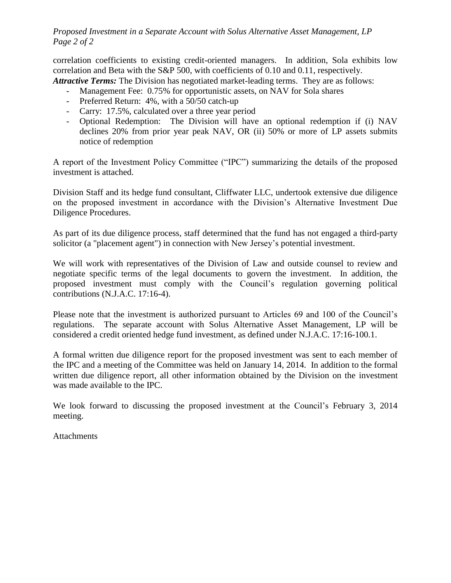## *Proposed Investment in a Separate Account with Solus Alternative Asset Management, LP Page 2 of 2*

correlation coefficients to existing credit-oriented managers. In addition, Sola exhibits low correlation and Beta with the S&P 500, with coefficients of 0.10 and 0.11, respectively.

- *Attractive Terms:* The Division has negotiated market-leading terms. They are as follows:
	- Management Fee: 0.75% for opportunistic assets, on NAV for Sola shares
	- Preferred Return: 4%, with a 50/50 catch-up
	- Carry: 17.5%, calculated over a three year period
	- Optional Redemption: The Division will have an optional redemption if (i) NAV declines 20% from prior year peak NAV, OR (ii) 50% or more of LP assets submits notice of redemption

A report of the Investment Policy Committee ("IPC") summarizing the details of the proposed investment is attached.

Division Staff and its hedge fund consultant, Cliffwater LLC, undertook extensive due diligence on the proposed investment in accordance with the Division's Alternative Investment Due Diligence Procedures.

As part of its due diligence process, staff determined that the fund has not engaged a third-party solicitor (a "placement agent") in connection with New Jersey's potential investment.

We will work with representatives of the Division of Law and outside counsel to review and negotiate specific terms of the legal documents to govern the investment. In addition, the proposed investment must comply with the Council's regulation governing political contributions (N.J.A.C. 17:16-4).

Please note that the investment is authorized pursuant to Articles 69 and 100 of the Council's regulations. The separate account with Solus Alternative Asset Management, LP will be considered a credit oriented hedge fund investment, as defined under N.J.A.C. 17:16-100.1.

A formal written due diligence report for the proposed investment was sent to each member of the IPC and a meeting of the Committee was held on January 14, 2014. In addition to the formal written due diligence report, all other information obtained by the Division on the investment was made available to the IPC.

We look forward to discussing the proposed investment at the Council's February 3, 2014 meeting.

**Attachments**